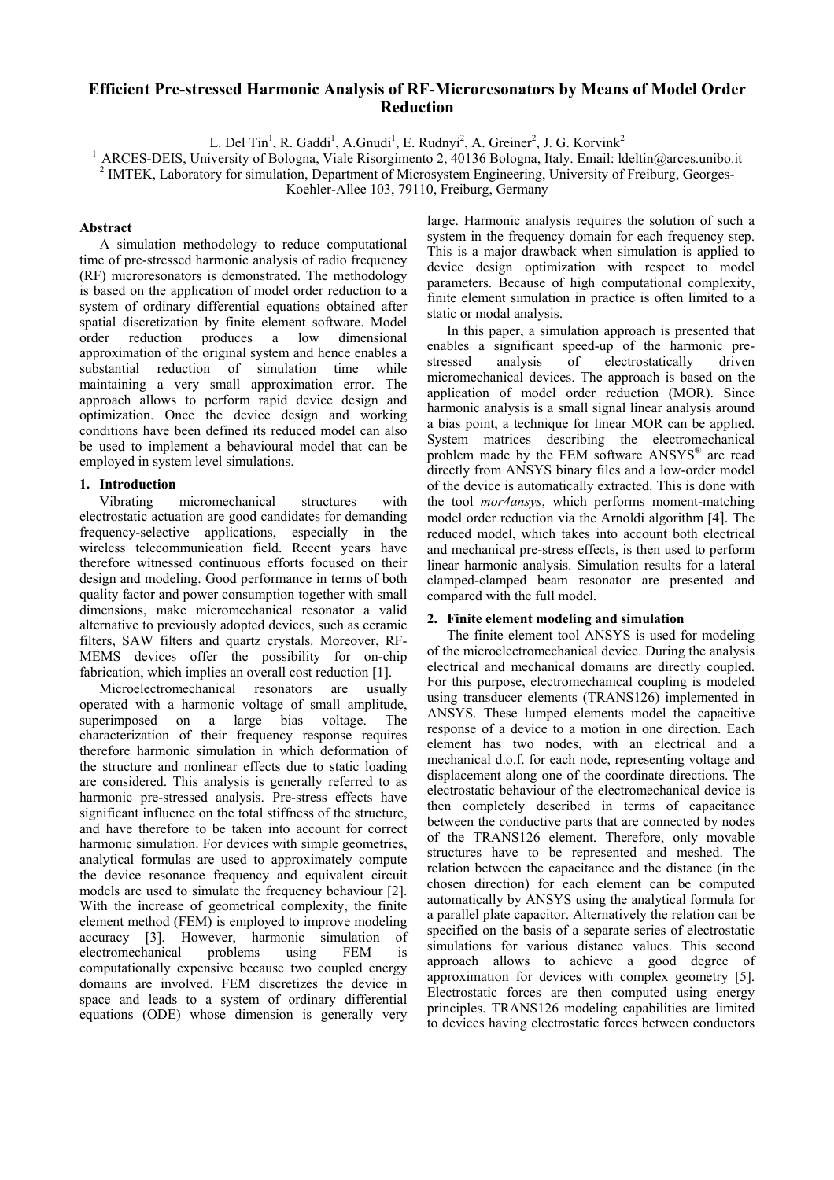# **Efficient Pre-stressed Harmonic Analysis of RF-Microresonators by Means of Model Order Reduction**

L. Del Tin<sup>1</sup>, R. Gaddi<sup>1</sup>, A. Gnudi<sup>1</sup>, E. Rudnyi<sup>2</sup>, A. Greiner<sup>2</sup>, J. G. Korvink<sup>2</sup>

<sup>1</sup> ARCES-DEIS, University of Bologna, Viale Risorgimento 2, 40136 Bologna, Italy. Email: ldeltin@arces.unibo.it

<sup>2</sup> IMTEK, Laboratory for simulation, Department of Microsystem Engineering, University of Freiburg, Georges-

Koehler-Allee 103, 79110, Freiburg, Germany

### **Abstract**

A simulation methodology to reduce computational time of pre-stressed harmonic analysis of radio frequency (RF) microresonators is demonstrated. The methodology is based on the application of model order reduction to a system of ordinary differential equations obtained after spatial discretization by finite element software. Model order reduction produces a low dimensional approximation of the original system and hence enables a substantial reduction of simulation time while maintaining a very small approximation error. The approach allows to perform rapid device design and optimization. Once the device design and working conditions have been defined its reduced model can also be used to implement a behavioural model that can be employed in system level simulations.

## **1. Introduction**

 Vibrating micromechanical structures with electrostatic actuation are good candidates for demanding frequency-selective applications, especially in the wireless telecommunication field. Recent years have therefore witnessed continuous efforts focused on their design and modeling. Good performance in terms of both quality factor and power consumption together with small dimensions, make micromechanical resonator a valid alternative to previously adopted devices, such as ceramic filters, SAW filters and quartz crystals. Moreover, RF-MEMS devices offer the possibility for on-chip fabrication, which implies an overall cost reduction [1].

 Microelectromechanical resonators are usually operated with a harmonic voltage of small amplitude, superimposed on a large bias voltage. The characterization of their frequency response requires therefore harmonic simulation in which deformation of the structure and nonlinear effects due to static loading are considered. This analysis is generally referred to as harmonic pre-stressed analysis. Pre-stress effects have significant influence on the total stiffness of the structure, and have therefore to be taken into account for correct harmonic simulation. For devices with simple geometries, analytical formulas are used to approximately compute the device resonance frequency and equivalent circuit models are used to simulate the frequency behaviour [2]. With the increase of geometrical complexity, the finite element method (FEM) is employed to improve modeling<br>accuracy [3]. However, harmonic simulation of However, harmonic simulation of electromechanical problems using FEM is computationally expensive because two coupled energy domains are involved. FEM discretizes the device in space and leads to a system of ordinary differential equations (ODE) whose dimension is generally very

large. Harmonic analysis requires the solution of such a system in the frequency domain for each frequency step. This is a major drawback when simulation is applied to device design optimization with respect to model parameters. Because of high computational complexity, finite element simulation in practice is often limited to a static or modal analysis.

 In this paper, a simulation approach is presented that enables a significant speed-up of the harmonic prestressed analysis of electrostatically driven micromechanical devices. The approach is based on the application of model order reduction (MOR). Since harmonic analysis is a small signal linear analysis around a bias point, a technique for linear MOR can be applied. System matrices describing the electromechanical problem made by the FEM software ANSYS® are read directly from ANSYS binary files and a low-order model of the device is automatically extracted. This is done with the tool *mor4ansys*, which performs moment-matching model order reduction via the Arnoldi algorithm [4]. The reduced model, which takes into account both electrical and mechanical pre-stress effects, is then used to perform linear harmonic analysis. Simulation results for a lateral clamped-clamped beam resonator are presented and compared with the full model.

### **2. Finite element modeling and simulation**

 The finite element tool ANSYS is used for modeling of the microelectromechanical device. During the analysis electrical and mechanical domains are directly coupled. For this purpose, electromechanical coupling is modeled using transducer elements (TRANS126) implemented in ANSYS. These lumped elements model the capacitive response of a device to a motion in one direction. Each element has two nodes, with an electrical and a mechanical d.o.f. for each node, representing voltage and displacement along one of the coordinate directions. The electrostatic behaviour of the electromechanical device is then completely described in terms of capacitance between the conductive parts that are connected by nodes of the TRANS126 element. Therefore, only movable structures have to be represented and meshed. The relation between the capacitance and the distance (in the chosen direction) for each element can be computed automatically by ANSYS using the analytical formula for a parallel plate capacitor. Alternatively the relation can be specified on the basis of a separate series of electrostatic simulations for various distance values. This second approach allows to achieve a good degree of approximation for devices with complex geometry [5]. Electrostatic forces are then computed using energy principles. TRANS126 modeling capabilities are limited to devices having electrostatic forces between conductors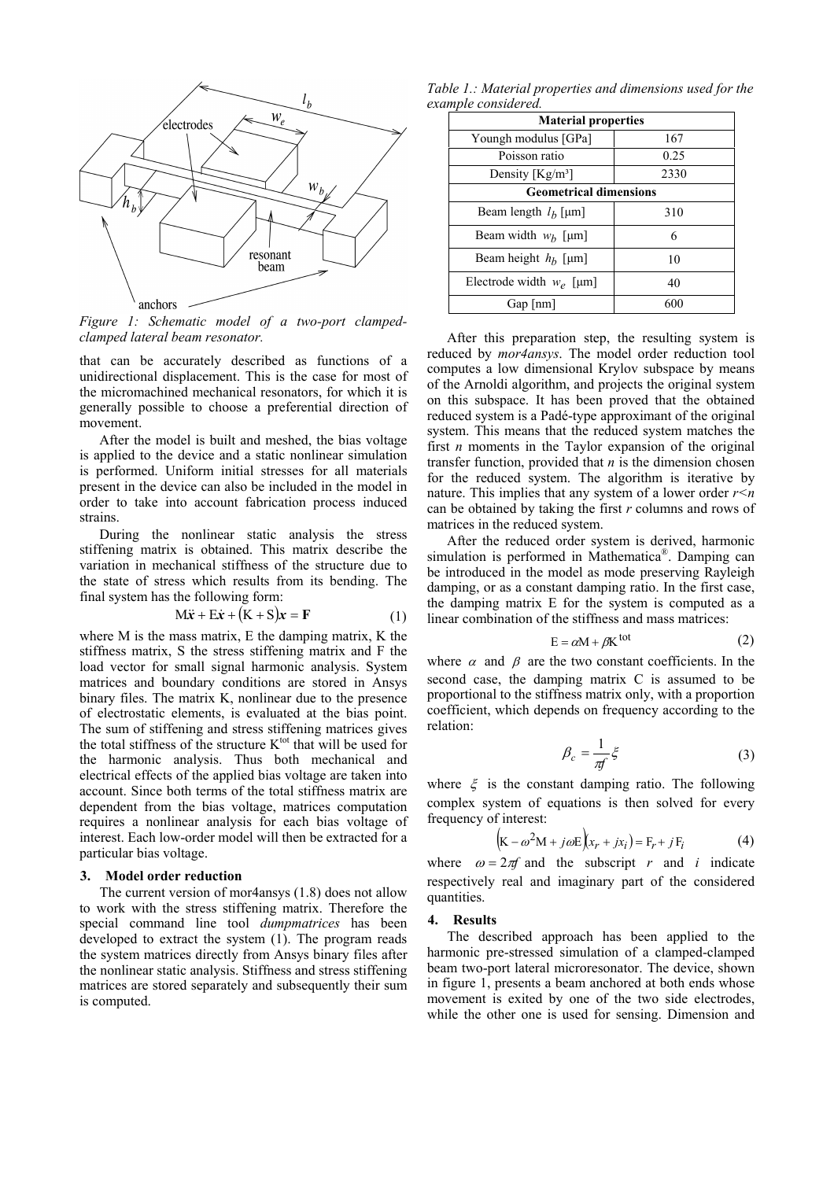

*Figure 1: Schematic model of a two-port clampedclamped lateral beam resonator.* 

that can be accurately described as functions of a unidirectional displacement. This is the case for most of the micromachined mechanical resonators, for which it is generally possible to choose a preferential direction of movement.

 After the model is built and meshed, the bias voltage is applied to the device and a static nonlinear simulation is performed. Uniform initial stresses for all materials present in the device can also be included in the model in order to take into account fabrication process induced strains.

During the nonlinear static analysis the stress stiffening matrix is obtained. This matrix describe the variation in mechanical stiffness of the structure due to the state of stress which results from its bending. The final system has the following form:

$$
M\ddot{x} + E\dot{x} + (K + S)x = F \tag{1}
$$

where M is the mass matrix, E the damping matrix, K the stiffness matrix, S the stress stiffening matrix and F the load vector for small signal harmonic analysis. System matrices and boundary conditions are stored in Ansys binary files. The matrix K, nonlinear due to the presence of electrostatic elements, is evaluated at the bias point. The sum of stiffening and stress stiffening matrices gives the total stiffness of the structure  $K<sup>tot</sup>$  that will be used for the harmonic analysis. Thus both mechanical and electrical effects of the applied bias voltage are taken into account. Since both terms of the total stiffness matrix are dependent from the bias voltage, matrices computation requires a nonlinear analysis for each bias voltage of interest. Each low-order model will then be extracted for a particular bias voltage.

#### **3. Model order reduction**

The current version of mor4ansys (1.8) does not allow to work with the stress stiffening matrix. Therefore the special command line tool *dumpmatrices* has been developed to extract the system (1). The program reads the system matrices directly from Ansys binary files after the nonlinear static analysis. Stiffness and stress stiffening matrices are stored separately and subsequently their sum is computed.

*Table 1.: Material properties and dimensions used for the example considered.* 

| <b>Material properties</b>    |      |  |
|-------------------------------|------|--|
| Youngh modulus [GPa]          | 167  |  |
| Poisson ratio                 | 0.25 |  |
| Density $[Kg/m^3]$            | 2330 |  |
| <b>Geometrical dimensions</b> |      |  |
| Beam length $lb$ [µm]         | 310  |  |
| Beam width $w_h$ [µm]         | 6    |  |
| Beam height $h_b$ [µm]        | 10   |  |
| Electrode width $w_e$ [µm]    | 40   |  |
| Gap $[nm]$                    | 600  |  |

After this preparation step, the resulting system is reduced by *mor4ansys*. The model order reduction tool computes a low dimensional Krylov subspace by means of the Arnoldi algorithm, and projects the original system on this subspace. It has been proved that the obtained reduced system is a Padé-type approximant of the original system. This means that the reduced system matches the first *n* moments in the Taylor expansion of the original transfer function, provided that *n* is the dimension chosen for the reduced system. The algorithm is iterative by nature. This implies that any system of a lower order  $r \leq n$ can be obtained by taking the first *r* columns and rows of matrices in the reduced system.

After the reduced order system is derived, harmonic simulation is performed in Mathematica®. Damping can be introduced in the model as mode preserving Rayleigh damping, or as a constant damping ratio. In the first case, the damping matrix E for the system is computed as a linear combination of the stiffness and mass matrices:

$$
E = \alpha M + \beta K^{tot}
$$
 (2)

where  $\alpha$  and  $\beta$  are the two constant coefficients. In the second case, the damping matrix C is assumed to be proportional to the stiffness matrix only, with a proportion coefficient, which depends on frequency according to the relation:

$$
\beta_c = \frac{1}{\pi f} \xi \tag{3}
$$

where  $\xi$  is the constant damping ratio. The following complex system of equations is then solved for every frequency of interest:

$$
\left(\mathbf{K} - \omega^2 \mathbf{M} + j\omega \mathbf{E}\right)(x_r + jx_i) = \mathbf{F}_r + j\mathbf{F}_i \tag{4}
$$

where  $\omega = 2\pi f$  and the subscript *r* and *i* indicate respectively real and imaginary part of the considered quantities.

### **4. Results**

The described approach has been applied to the harmonic pre-stressed simulation of a clamped-clamped beam two-port lateral microresonator. The device, shown in figure 1, presents a beam anchored at both ends whose movement is exited by one of the two side electrodes, while the other one is used for sensing. Dimension and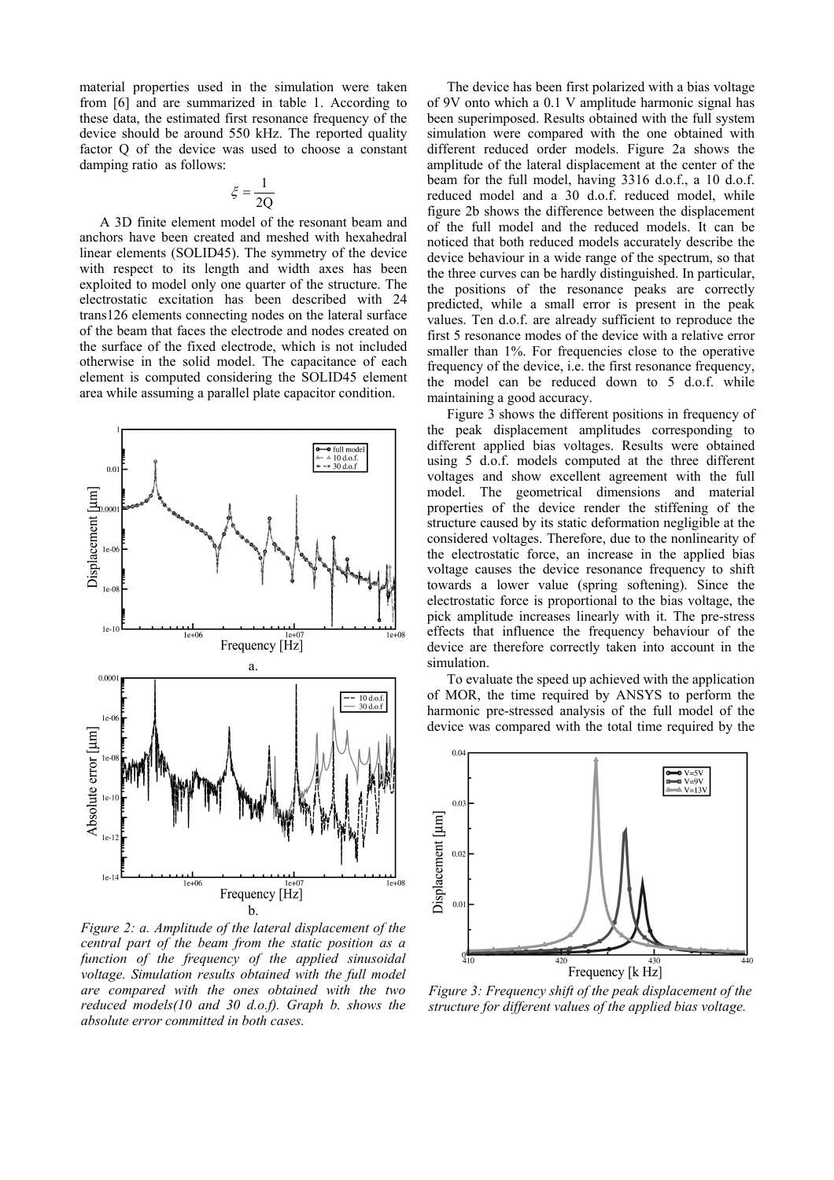material properties used in the simulation were taken from [6] and are summarized in table 1. According to these data, the estimated first resonance frequency of the device should be around 550 kHz. The reported quality factor Q of the device was used to choose a constant damping ratio as follows:

$$
\xi=\frac{1}{2Q}
$$

A 3D finite element model of the resonant beam and anchors have been created and meshed with hexahedral linear elements (SOLID45). The symmetry of the device with respect to its length and width axes has been exploited to model only one quarter of the structure. The electrostatic excitation has been described with 24 trans126 elements connecting nodes on the lateral surface of the beam that faces the electrode and nodes created on the surface of the fixed electrode, which is not included otherwise in the solid model. The capacitance of each element is computed considering the SOLID45 element area while assuming a parallel plate capacitor condition.



*Figure 2: a. Amplitude of the lateral displacement of the central part of the beam from the static position as a function of the frequency of the applied sinusoidal voltage. Simulation results obtained with the full model are compared with the ones obtained with the two reduced models(10 and 30 d.o.f). Graph b. shows the absolute error committed in both cases.* 

The device has been first polarized with a bias voltage of 9V onto which a 0.1 V amplitude harmonic signal has been superimposed. Results obtained with the full system simulation were compared with the one obtained with different reduced order models. Figure 2a shows the amplitude of the lateral displacement at the center of the beam for the full model, having 3316 d.o.f., a 10 d.o.f. reduced model and a 30 d.o.f. reduced model, while figure 2b shows the difference between the displacement of the full model and the reduced models. It can be noticed that both reduced models accurately describe the device behaviour in a wide range of the spectrum, so that the three curves can be hardly distinguished. In particular, the positions of the resonance peaks are correctly predicted, while a small error is present in the peak values. Ten d.o.f. are already sufficient to reproduce the first 5 resonance modes of the device with a relative error smaller than 1%. For frequencies close to the operative frequency of the device, i.e. the first resonance frequency, the model can be reduced down to 5 d.o.f. while maintaining a good accuracy.

Figure 3 shows the different positions in frequency of the peak displacement amplitudes corresponding to different applied bias voltages. Results were obtained using 5 d.o.f. models computed at the three different voltages and show excellent agreement with the full model. The geometrical dimensions and material properties of the device render the stiffening of the structure caused by its static deformation negligible at the considered voltages. Therefore, due to the nonlinearity of the electrostatic force, an increase in the applied bias voltage causes the device resonance frequency to shift towards a lower value (spring softening). Since the electrostatic force is proportional to the bias voltage, the pick amplitude increases linearly with it. The pre-stress effects that influence the frequency behaviour of the device are therefore correctly taken into account in the simulation.

To evaluate the speed up achieved with the application of MOR, the time required by ANSYS to perform the harmonic pre-stressed analysis of the full model of the device was compared with the total time required by the



*Figure 3: Frequency shift of the peak displacement of the structure for different values of the applied bias voltage.*